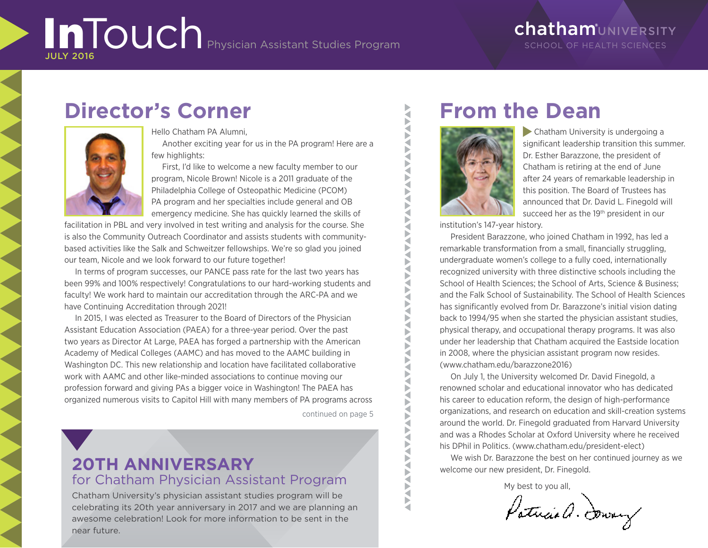# InTouch Physician Assistant Studies Program JULY 2016

## ChathamUNIVERSITY SCHOOL OF HEALTH SCIENCES

# **Director's Corner**



#### Hello Chatham PA Alumni,

Another exciting year for us in the PA program! Here are a few highlights:

First, I'd like to welcome a new faculty member to our program, Nicole Brown! Nicole is a 2011 graduate of the Philadelphia College of Osteopathic Medicine (PCOM) PA program and her specialties include general and OB emergency medicine. She has quickly learned the skills of

facilitation in PBL and very involved in test writing and analysis for the course. She is also the Community Outreach Coordinator and assists students with communitybased activities like the Salk and Schweitzer fellowships. We're so glad you joined our team, Nicole and we look forward to our future together!

In terms of program successes, our PANCE pass rate for the last two years has been 99% and 100% respectively! Congratulations to our hard-working students and faculty! We work hard to maintain our accreditation through the ARC-PA and we have Continuing Accreditation through 2021!

In 2015, I was elected as Treasurer to the Board of Directors of the Physician Assistant Education Association (PAEA) for a three-year period. Over the past two years as Director At Large, PAEA has forged a partnership with the American Academy of Medical Colleges (AAMC) and has moved to the AAMC building in Washington DC. This new relationship and location have facilitated collaborative work with AAMC and other like-minded associations to continue moving our profession forward and giving PAs a bigger voice in Washington! The PAEA has organized numerous visits to Capitol Hill with many members of PA programs across

continued on page 5

# **20TH ANNIVERSARY**  for Chatham Physician Assistant Program

Chatham University's physician assistant studies program will be celebrating its 20th year anniversary in 2017 and we are planning an awesome celebration! Look for more information to be sent in the near future.

# **From the Dean**



**AVA** ₹ Þ ₹ S<br>S Þ ₹ Þ a

₹ **NAA** ₹ Þ ₹ Þ ₹ ₹

b

₹ ₹ b ₹ Þ ₹ ь a b

 Chatham University is undergoing a significant leadership transition this summer. Dr. Esther Barazzone, the president of Chatham is retiring at the end of June after 24 years of remarkable leadership in this position. The Board of Trustees has announced that Dr. David L. Finegold will succeed her as the 19<sup>th</sup> president in our

institution's 147-year history.

President Barazzone, who joined Chatham in 1992, has led a remarkable transformation from a small, financially struggling, undergraduate women's college to a fully coed, internationally recognized university with three distinctive schools including the School of Health Sciences; the School of Arts, Science & Business; and the Falk School of Sustainability. The School of Health Sciences has significantly evolved from Dr. Barazzone's initial vision dating back to 1994/95 when she started the physician assistant studies, physical therapy, and occupational therapy programs. It was also under her leadership that Chatham acquired the Eastside location in 2008, where the physician assistant program now resides. (www.chatham.edu/barazzone2016)

On July 1, the University welcomed Dr. David Finegold, a renowned scholar and educational innovator who has dedicated his career to education reform, the design of high-performance organizations, and research on education and skill-creation systems around the world. Dr. Finegold graduated from Harvard University and was a Rhodes Scholar at Oxford University where he received his DPhil in Politics. (www.chatham.edu/president-elect)

We wish Dr. Barazzone the best on her continued journey as we welcome our new president, Dr. Finegold.

My best to you all,

Patrice a. Soway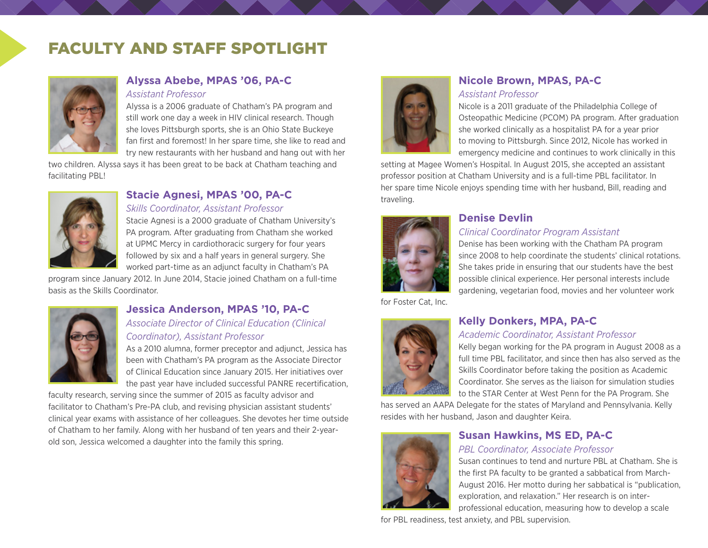# FACULTY AND STAFF SPOTLIGHT



## **Alyssa Abebe, MPAS '06, PA-C**

*Assistant Professor*

Alyssa is a 2006 graduate of Chatham's PA program and still work one day a week in HIV clinical research. Though she loves Pittsburgh sports, she is an Ohio State Buckeye fan first and foremost! In her spare time, she like to read and try new restaurants with her husband and hang out with her

two children. Alyssa says it has been great to be back at Chatham teaching and facilitating PBL!



## **Stacie Agnesi, MPAS '00, PA-C**

*Skills Coordinator, Assistant Professor*

Stacie Agnesi is a 2000 graduate of Chatham University's PA program. After graduating from Chatham she worked at UPMC Mercy in cardiothoracic surgery for four years followed by six and a half years in general surgery. She worked part-time as an adjunct faculty in Chatham's PA

program since January 2012. In June 2014, Stacie joined Chatham on a full-time basis as the Skills Coordinator.



## **Jessica Anderson, MPAS '10, PA-C** *Associate Director of Clinical Education (Clinical*

*Coordinator), Assistant Professor*

As a 2010 alumna, former preceptor and adjunct, Jessica has been with Chatham's PA program as the Associate Director of Clinical Education since January 2015. Her initiatives over the past year have included successful PANRE recertification,

faculty research, serving since the summer of 2015 as faculty advisor and facilitator to Chatham's Pre-PA club, and revising physician assistant students' clinical year exams with assistance of her colleagues. She devotes her time outside of Chatham to her family. Along with her husband of ten years and their 2-yearold son, Jessica welcomed a daughter into the family this spring.



# **Nicole Brown, MPAS, PA-C**

*Assistant Professor*

Nicole is a 2011 graduate of the Philadelphia College of Osteopathic Medicine (PCOM) PA program. After graduation she worked clinically as a hospitalist PA for a year prior to moving to Pittsburgh. Since 2012, Nicole has worked in emergency medicine and continues to work clinically in this

setting at Magee Women's Hospital. In August 2015, she accepted an assistant professor position at Chatham University and is a full-time PBL facilitator. In her spare time Nicole enjoys spending time with her husband, Bill, reading and traveling.



### **Denise Devlin**

#### *Clinical Coordinator Program Assistant*

Denise has been working with the Chatham PA program since 2008 to help coordinate the students' clinical rotations. She takes pride in ensuring that our students have the best possible clinical experience. Her personal interests include gardening, vegetarian food, movies and her volunteer work

for Foster Cat, Inc.



## **Kelly Donkers, MPA, PA-C**

#### *Academic Coordinator, Assistant Professor*

Kelly began working for the PA program in August 2008 as a full time PBL facilitator, and since then has also served as the Skills Coordinator before taking the position as Academic Coordinator. She serves as the liaison for simulation studies to the STAR Center at West Penn for the PA Program. She

has served an AAPA Delegate for the states of Maryland and Pennsylvania. Kelly resides with her husband, Jason and daughter Keira.



# **Susan Hawkins, MS ED, PA-C**

#### *PBL Coordinator, Associate Professor*

Susan continues to tend and nurture PBL at Chatham. She is the first PA faculty to be granted a sabbatical from March-August 2016. Her motto during her sabbatical is "publication, exploration, and relaxation." Her research is on interprofessional education, measuring how to develop a scale

for PBL readiness, test anxiety, and PBL supervision.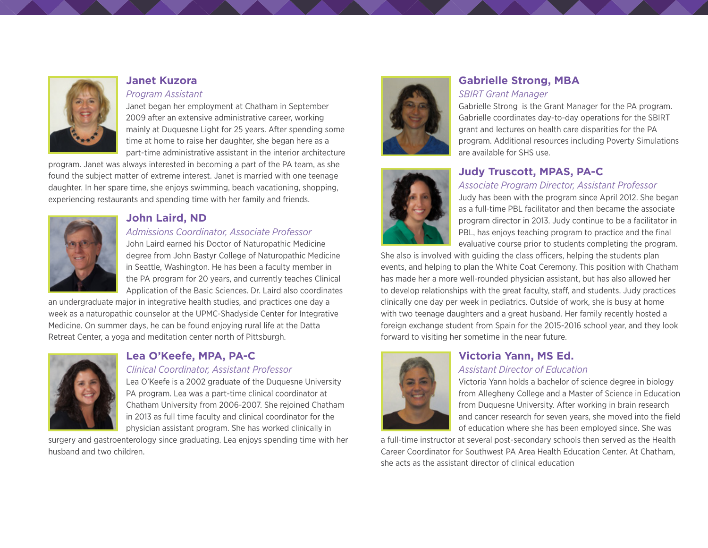

## **Janet Kuzora**

#### *Program Assistant*

Janet began her employment at Chatham in September 2009 after an extensive administrative career, working mainly at Duquesne Light for 25 years. After spending some time at home to raise her daughter, she began here as a part-time administrative assistant in the interior architecture

program. Janet was always interested in becoming a part of the PA team, as she found the subject matter of extreme interest. Janet is married with one teenage daughter. In her spare time, she enjoys swimming, beach vacationing, shopping, experiencing restaurants and spending time with her family and friends.



#### **John Laird, ND**

#### *Admissions Coordinator, Associate Professor*

John Laird earned his Doctor of Naturopathic Medicine degree from John Bastyr College of Naturopathic Medicine in Seattle, Washington. He has been a faculty member in the PA program for 20 years, and currently teaches Clinical Application of the Basic Sciences. Dr. Laird also coordinates

an undergraduate major in integrative health studies, and practices one day a week as a naturopathic counselor at the UPMC-Shadyside Center for Integrative Medicine. On summer days, he can be found enjoying rural life at the Datta Retreat Center, a yoga and meditation center north of Pittsburgh.



## **Lea O'Keefe, MPA, PA-C**

#### *Clinical Coordinator, Assistant Professor*

Lea O'Keefe is a 2002 graduate of the Duquesne University PA program. Lea was a part-time clinical coordinator at Chatham University from 2006-2007. She rejoined Chatham in 2013 as full time faculty and clinical coordinator for the physician assistant program. She has worked clinically in

surgery and gastroenterology since graduating. Lea enjoys spending time with her husband and two children.





# **Gabrielle Strong, MBA**

#### *SBIRT Grant Manager*

Gabrielle Strong is the Grant Manager for the PA program. Gabrielle coordinates day-to-day operations for the SBIRT grant and lectures on health care disparities for the PA program. Additional resources including Poverty Simulations are available for SHS use.

## **Judy Truscott, MPAS, PA-C**

#### *Associate Program Director, Assistant Professor*

Judy has been with the program since April 2012. She began as a full-time PBL facilitator and then became the associate program director in 2013. Judy continue to be a facilitator in PBL, has enjoys teaching program to practice and the final evaluative course prior to students completing the program.

She also is involved with guiding the class officers, helping the students plan events, and helping to plan the White Coat Ceremony. This position with Chatham has made her a more well-rounded physician assistant, but has also allowed her to develop relationships with the great faculty, staff, and students. Judy practices clinically one day per week in pediatrics. Outside of work, she is busy at home with two teenage daughters and a great husband. Her family recently hosted a foreign exchange student from Spain for the 2015-2016 school year, and they look forward to visiting her sometime in the near future.



# **Victoria Yann, MS Ed.**

#### *Assistant Director of Education*

Victoria Yann holds a bachelor of science degree in biology from Allegheny College and a Master of Science in Education from Duquesne University. After working in brain research and cancer research for seven years, she moved into the field of education where she has been employed since. She was

a full-time instructor at several post-secondary schools then served as the Health Career Coordinator for Southwest PA Area Health Education Center. At Chatham, she acts as the assistant director of clinical education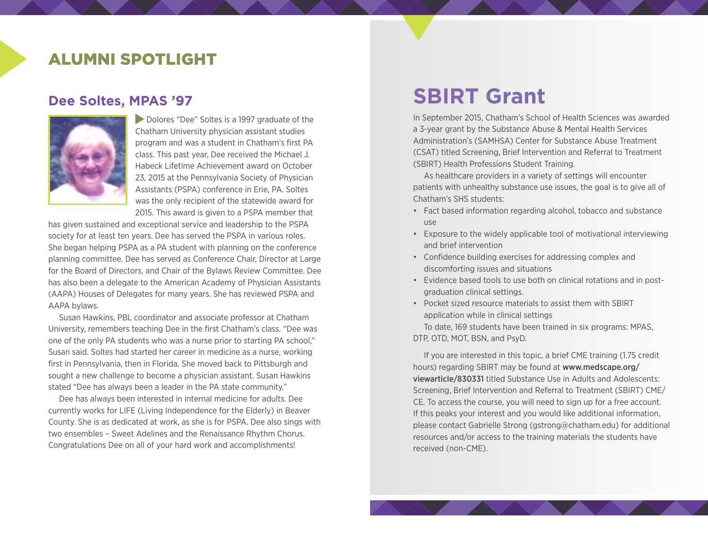# ALUMNI SPOTLIGHT

## **Dee Soltes, MPAS '97**



**Dolores "Dee" Soltes is a 1997 graduate of the** Chatham University physician assistant studies program and was a student in Chatham's first PA class. This past year, Dee received the Michael J. Habeck Lifetime Achievement award on October 23, 2015 at the Pennsylvania Society of Physician Assistants (PSPA) conference in Erie, PA. Soltes was the only recipient of the statewide award for 2015. This award is given to a PSPA member that

has given sustained and exceptional service and leadership to the PSPA society for at least ten years. Dee has served the PSPA in various roles. She began helping PSPA as a PA student with planning on the conference planning committee. Dee has served as Conference Chair, Director at Large for the Board of Directors, and Chair of the Bylaws Review Committee. Dee has also been a delegate to the American Academy of Physician Assistants (AAPA) Houses of Delegates for many years. She has reviewed PSPA and AAPA bylaws.

Susan Hawkins, PBL coordinator and associate professor at Chatham University, remembers teaching Dee in the first Chatham's class. "Dee was one of the only PA students who was a nurse prior to starting PA school," Susan said. Soltes had started her career in medicine as a nurse, working first in Pennsylvania, then in Florida. She moved back to Pittsburgh and sought a new challenge to become a physician assistant. Susan Hawkins stated "Dee has always been a leader in the PA state community."

Dee has always been interested in internal medicine for adults. Dee currently works for LIFE (Living Independence for the Elderly) in Beaver County. She is as dedicated at work, as she is for PSPA. Dee also sings with two ensembles – Sweet Adelines and the Renaissance Rhythm Chorus. Congratulations Dee on all of your hard work and accomplishments!

# **SBIRT Grant**

In September 2015, Chatham's School of Health Sciences was awarded a 3-year grant by the Substance Abuse & Mental Health Services Administration's (SAMHSA) Center for Substance Abuse Treatment (CSAT) titled Screening, Brief Intervention and Referral to Treatment (SBIRT) Health Professions Student Training.

As healthcare providers in a variety of settings will encounter patients with unhealthy substance use issues, the goal is to give all of Chatham's SHS students:

- Fact based information regarding alcohol, tobacco and substance use
- Exposure to the widely applicable tool of motivational interviewing and brief intervention
- Confidence building exercises for addressing complex and discomforting issues and situations
- Evidence based tools to use both on clinical rotations and in postgraduation clinical settings.
- Pocket sized resource materials to assist them with SBIRT application while in clinical settings

To date, 169 students have been trained in six programs: MPAS, DTP, OTD, MOT, BSN, and PsyD.

If you are interested in this topic, a brief CME training (1.75 credit hours) regarding SBIRT may be found at [www.medscape.org/](http://www.medscape.org/viewarticle/830331) [viewarticle/830331](http://www.medscape.org/viewarticle/830331) titled Substance Use in Adults and Adolescents: Screening, Brief Intervention and Referral to Treatment (SBIRT) CME/ CE. To access the course, you will need to sign up for a free account. If this peaks your interest and you would like additional information, please contact Gabrielle Strong [\(gstrong@chatham.edu\)](mailto:gstrong@chatham.edu) for additional resources and/or access to the training materials the students have received (non-CME).

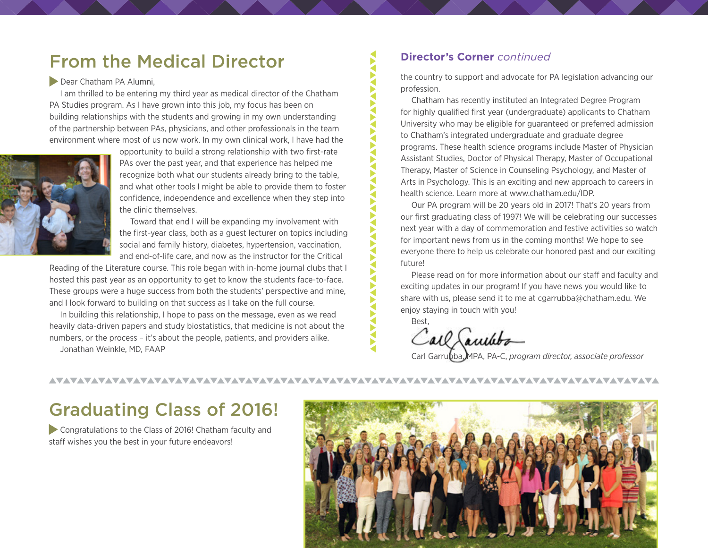# From the Medical Director

#### Dear Chatham PA Alumni,

I am thrilled to be entering my third year as medical director of the Chatham PA Studies program. As I have grown into this job, my focus has been on building relationships with the students and growing in my own understanding of the partnership between PAs, physicians, and other professionals in the team environment where most of us now work. In my own clinical work, I have had the



opportunity to build a strong relationship with two first-rate PAs over the past year, and that experience has helped me recognize both what our students already bring to the table, and what other tools I might be able to provide them to foster confidence, independence and excellence when they step into the clinic themselves.

Toward that end I will be expanding my involvement with the first-year class, both as a guest lecturer on topics including social and family history, diabetes, hypertension, vaccination, and end-of-life care, and now as the instructor for the Critical

Reading of the Literature course. This role began with in-home journal clubs that I hosted this past year as an opportunity to get to know the students face-to-face. These groups were a huge success from both the students' perspective and mine, and I look forward to building on that success as I take on the full course.

In building this relationship, I hope to pass on the message, even as we read heavily data-driven papers and study biostatistics, that medicine is not about the numbers, or the process – it's about the people, patients, and providers alike. Jonathan Weinkle, MD, FAAP

#### **Director's Corner** *continued*

the country to support and advocate for PA legislation advancing our profession.

Chatham has recently instituted an Integrated Degree Program for highly qualified first year (undergraduate) applicants to Chatham University who may be eligible for guaranteed or preferred admission to Chatham's integrated undergraduate and graduate degree programs. These health science programs include Master of Physician Assistant Studies, Doctor of Physical Therapy, Master of Occupational Therapy, Master of Science in Counseling Psychology, and Master of Arts in Psychology. This is an exciting and new approach to careers in health science. Learn more at [www.chatham.edu/I](http://www.chatham.edu/academics/programs/integrated-degree-program/)DP.

Our PA program will be 20 years old in 2017! That's 20 years from our first graduating class of 1997! We will be celebrating our successes next year with a day of commemoration and festive activities so watch for important news from us in the coming months! We hope to see everyone there to help us celebrate our honored past and our exciting future!

Please read on for more information about our staff and faculty and exciting updates in our program! If you have news you would like to share with us, please send it to me at [cgarrubba@chatham.edu.](mailto:cgarrubba@chatham.edu) We enjoy staying in touch with you!

Best,

◀

Call Lauthba

Carl Garrubba, MPA, PA-C, *program director, associate professor*

# Graduating Class of 2016!

 Congratulations to the Class of 2016! Chatham faculty and staff wishes you the best in your future endeavors!